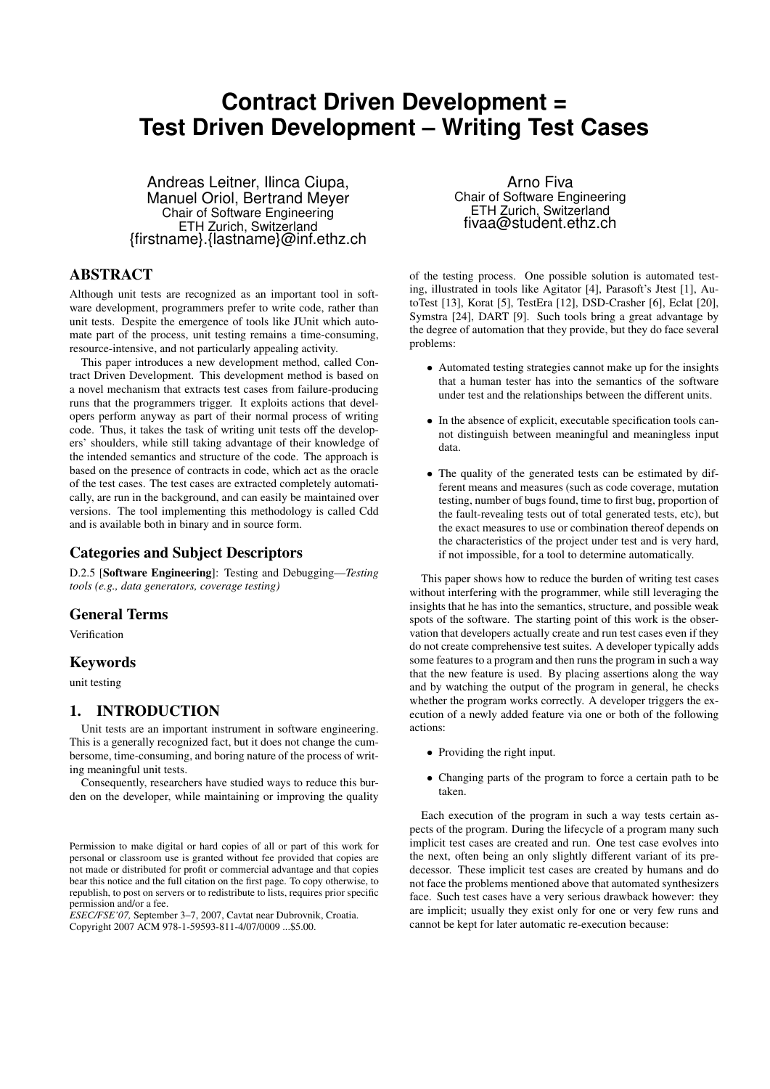# **Contract Driven Development = Test Driven Development – Writing Test Cases**

Andreas Leitner, Ilinca Ciupa, Manuel Oriol, Bertrand Meyer Chair of Software Engineering ETH Zurich, Switzerland {firstname}.{lastname}@inf.ethz.ch

# ABSTRACT

Although unit tests are recognized as an important tool in software development, programmers prefer to write code, rather than unit tests. Despite the emergence of tools like JUnit which automate part of the process, unit testing remains a time-consuming, resource-intensive, and not particularly appealing activity.

This paper introduces a new development method, called Contract Driven Development. This development method is based on a novel mechanism that extracts test cases from failure-producing runs that the programmers trigger. It exploits actions that developers perform anyway as part of their normal process of writing code. Thus, it takes the task of writing unit tests off the developers' shoulders, while still taking advantage of their knowledge of the intended semantics and structure of the code. The approach is based on the presence of contracts in code, which act as the oracle of the test cases. The test cases are extracted completely automatically, are run in the background, and can easily be maintained over versions. The tool implementing this methodology is called Cdd and is available both in binary and in source form.

## Categories and Subject Descriptors

D.2.5 [Software Engineering]: Testing and Debugging—*Testing tools (e.g., data generators, coverage testing)*

## General Terms

Verification

## Keywords

unit testing

# 1. INTRODUCTION

Unit tests are an important instrument in software engineering. This is a generally recognized fact, but it does not change the cumbersome, time-consuming, and boring nature of the process of writing meaningful unit tests.

Consequently, researchers have studied ways to reduce this burden on the developer, while maintaining or improving the quality

*ESEC/FSE'07,* September 3–7, 2007, Cavtat near Dubrovnik, Croatia. Copyright 2007 ACM 978-1-59593-811-4/07/0009 ...\$5.00.

Arno Fiva Chair of Software Engineering ETH Zurich, Switzerland fivaa@student.ethz.ch

of the testing process. One possible solution is automated testing, illustrated in tools like Agitator [4], Parasoft's Jtest [1], AutoTest [13], Korat [5], TestEra [12], DSD-Crasher [6], Eclat [20], Symstra [24], DART [9]. Such tools bring a great advantage by the degree of automation that they provide, but they do face several problems:

- Automated testing strategies cannot make up for the insights that a human tester has into the semantics of the software under test and the relationships between the different units.
- In the absence of explicit, executable specification tools cannot distinguish between meaningful and meaningless input data.
- The quality of the generated tests can be estimated by different means and measures (such as code coverage, mutation testing, number of bugs found, time to first bug, proportion of the fault-revealing tests out of total generated tests, etc), but the exact measures to use or combination thereof depends on the characteristics of the project under test and is very hard, if not impossible, for a tool to determine automatically.

This paper shows how to reduce the burden of writing test cases without interfering with the programmer, while still leveraging the insights that he has into the semantics, structure, and possible weak spots of the software. The starting point of this work is the observation that developers actually create and run test cases even if they do not create comprehensive test suites. A developer typically adds some features to a program and then runs the program in such a way that the new feature is used. By placing assertions along the way and by watching the output of the program in general, he checks whether the program works correctly. A developer triggers the execution of a newly added feature via one or both of the following actions:

- Providing the right input.
- Changing parts of the program to force a certain path to be taken.

Each execution of the program in such a way tests certain aspects of the program. During the lifecycle of a program many such implicit test cases are created and run. One test case evolves into the next, often being an only slightly different variant of its predecessor. These implicit test cases are created by humans and do not face the problems mentioned above that automated synthesizers face. Such test cases have a very serious drawback however: they are implicit; usually they exist only for one or very few runs and cannot be kept for later automatic re-execution because:

Permission to make digital or hard copies of all or part of this work for personal or classroom use is granted without fee provided that copies are not made or distributed for profit or commercial advantage and that copies bear this notice and the full citation on the first page. To copy otherwise, to republish, to post on servers or to redistribute to lists, requires prior specific permission and/or a fee.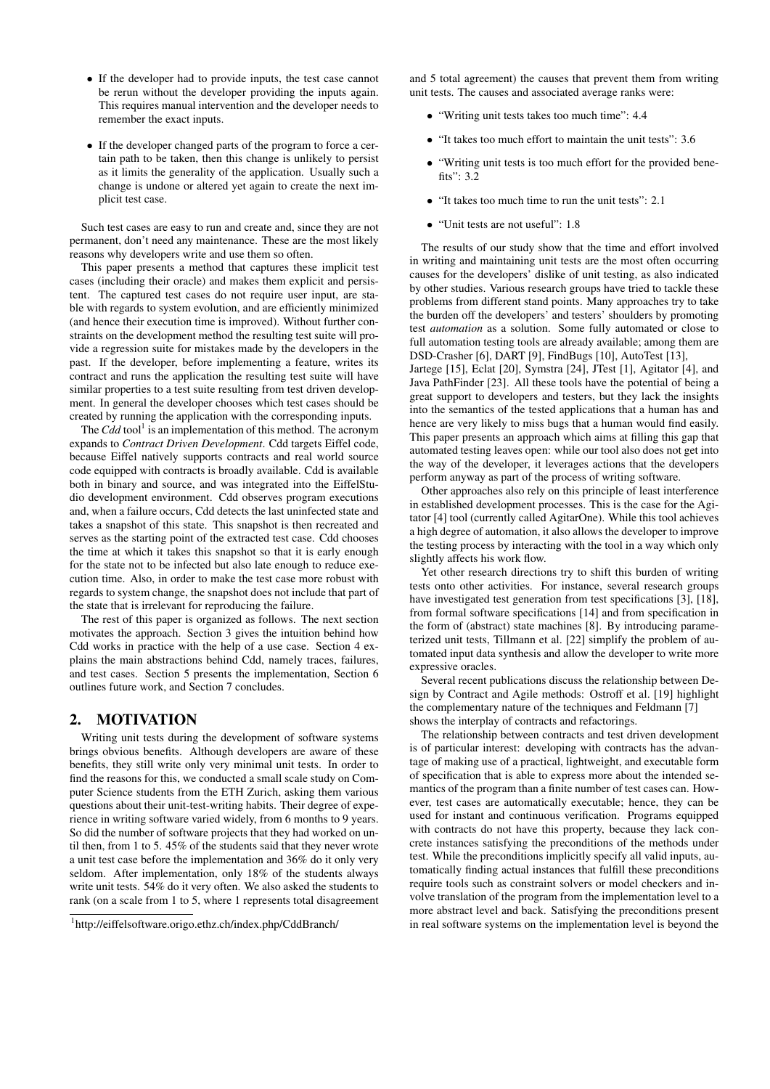- If the developer had to provide inputs, the test case cannot be rerun without the developer providing the inputs again. This requires manual intervention and the developer needs to remember the exact inputs.
- If the developer changed parts of the program to force a certain path to be taken, then this change is unlikely to persist as it limits the generality of the application. Usually such a change is undone or altered yet again to create the next implicit test case.

Such test cases are easy to run and create and, since they are not permanent, don't need any maintenance. These are the most likely reasons why developers write and use them so often.

This paper presents a method that captures these implicit test cases (including their oracle) and makes them explicit and persistent. The captured test cases do not require user input, are stable with regards to system evolution, and are efficiently minimized (and hence their execution time is improved). Without further constraints on the development method the resulting test suite will provide a regression suite for mistakes made by the developers in the past. If the developer, before implementing a feature, writes its contract and runs the application the resulting test suite will have similar properties to a test suite resulting from test driven development. In general the developer chooses which test cases should be created by running the application with the corresponding inputs.

The *Cdd* tool<sup>1</sup> is an implementation of this method. The acronym expands to *Contract Driven Development*. Cdd targets Eiffel code, because Eiffel natively supports contracts and real world source code equipped with contracts is broadly available. Cdd is available both in binary and source, and was integrated into the EiffelStudio development environment. Cdd observes program executions and, when a failure occurs, Cdd detects the last uninfected state and takes a snapshot of this state. This snapshot is then recreated and serves as the starting point of the extracted test case. Cdd chooses the time at which it takes this snapshot so that it is early enough for the state not to be infected but also late enough to reduce execution time. Also, in order to make the test case more robust with regards to system change, the snapshot does not include that part of the state that is irrelevant for reproducing the failure.

The rest of this paper is organized as follows. The next section motivates the approach. Section 3 gives the intuition behind how Cdd works in practice with the help of a use case. Section 4 explains the main abstractions behind Cdd, namely traces, failures, and test cases. Section 5 presents the implementation, Section 6 outlines future work, and Section 7 concludes.

# 2. MOTIVATION

Writing unit tests during the development of software systems brings obvious benefits. Although developers are aware of these benefits, they still write only very minimal unit tests. In order to find the reasons for this, we conducted a small scale study on Computer Science students from the ETH Zurich, asking them various questions about their unit-test-writing habits. Their degree of experience in writing software varied widely, from 6 months to 9 years. So did the number of software projects that they had worked on until then, from 1 to 5. 45% of the students said that they never wrote a unit test case before the implementation and 36% do it only very seldom. After implementation, only 18% of the students always write unit tests. 54% do it very often. We also asked the students to rank (on a scale from 1 to 5, where 1 represents total disagreement and 5 total agreement) the causes that prevent them from writing unit tests. The causes and associated average ranks were:

- "Writing unit tests takes too much time": 4.4
- "It takes too much effort to maintain the unit tests": 3.6
- "Writing unit tests is too much effort for the provided benefits": 3.2
- "It takes too much time to run the unit tests": 2.1
- "Unit tests are not useful": 1.8

The results of our study show that the time and effort involved in writing and maintaining unit tests are the most often occurring causes for the developers' dislike of unit testing, as also indicated by other studies. Various research groups have tried to tackle these problems from different stand points. Many approaches try to take the burden off the developers' and testers' shoulders by promoting test *automation* as a solution. Some fully automated or close to full automation testing tools are already available; among them are DSD-Crasher [6], DART [9], FindBugs [10], AutoTest [13],

Jartege [15], Eclat [20], Symstra [24], JTest [1], Agitator [4], and Java PathFinder [23]. All these tools have the potential of being a great support to developers and testers, but they lack the insights into the semantics of the tested applications that a human has and hence are very likely to miss bugs that a human would find easily. This paper presents an approach which aims at filling this gap that automated testing leaves open: while our tool also does not get into the way of the developer, it leverages actions that the developers perform anyway as part of the process of writing software.

Other approaches also rely on this principle of least interference in established development processes. This is the case for the Agitator [4] tool (currently called AgitarOne). While this tool achieves a high degree of automation, it also allows the developer to improve the testing process by interacting with the tool in a way which only slightly affects his work flow.

Yet other research directions try to shift this burden of writing tests onto other activities. For instance, several research groups have investigated test generation from test specifications [3], [18], from formal software specifications [14] and from specification in the form of (abstract) state machines [8]. By introducing parameterized unit tests, Tillmann et al. [22] simplify the problem of automated input data synthesis and allow the developer to write more expressive oracles.

Several recent publications discuss the relationship between Design by Contract and Agile methods: Ostroff et al. [19] highlight the complementary nature of the techniques and Feldmann [7] shows the interplay of contracts and refactorings.

The relationship between contracts and test driven development is of particular interest: developing with contracts has the advantage of making use of a practical, lightweight, and executable form of specification that is able to express more about the intended semantics of the program than a finite number of test cases can. However, test cases are automatically executable; hence, they can be used for instant and continuous verification. Programs equipped with contracts do not have this property, because they lack concrete instances satisfying the preconditions of the methods under test. While the preconditions implicitly specify all valid inputs, automatically finding actual instances that fulfill these preconditions require tools such as constraint solvers or model checkers and involve translation of the program from the implementation level to a more abstract level and back. Satisfying the preconditions present in real software systems on the implementation level is beyond the

<sup>1</sup> http://eiffelsoftware.origo.ethz.ch/index.php/CddBranch/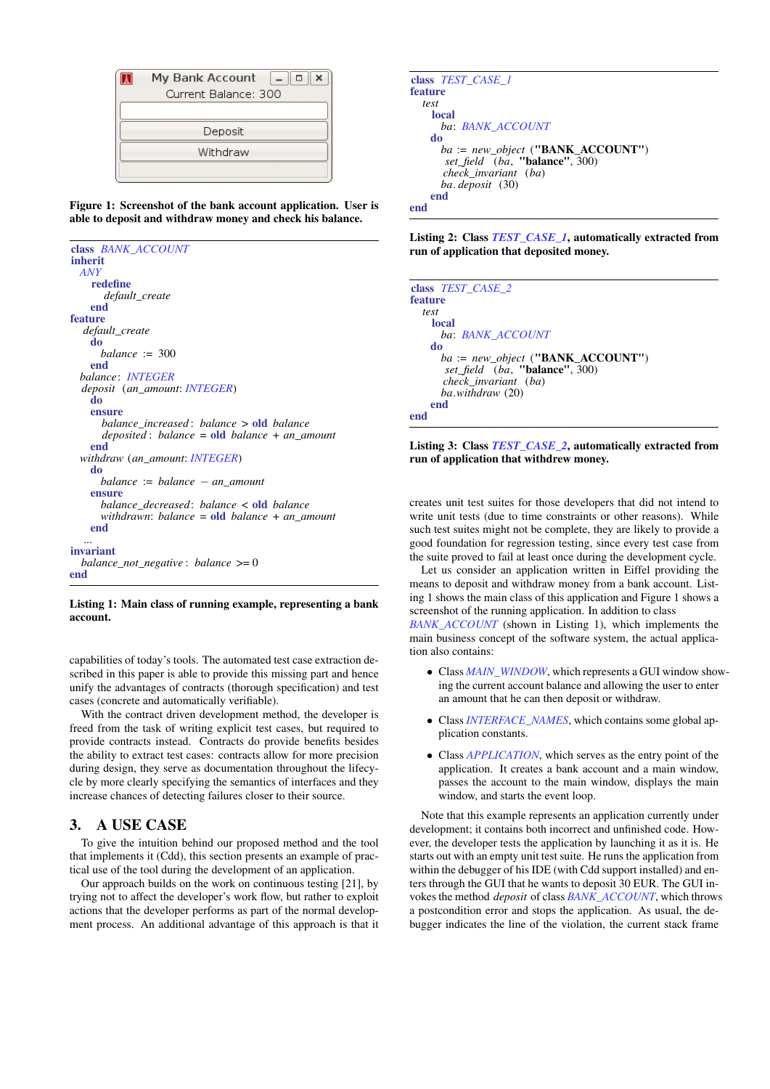

Figure 1: Screenshot of the bank account application. User is able to deposit and withdraw money and check his balance.

class *BANK\_ACCOUNT* inherit *ANY* redefine *default\_create* end feature *default\_create* do *balance* := 300 end *balance*: *INTEGER deposit* (*an\_amount*: *INTEGER*) do ensure *balance\_increased* : *balance* > old *balance deposited* : *balance* = old *balance* + *an\_amount* end *withdraw* (*an\_amount*: *INTEGER*) do *balance* := *balance* − *an\_amount* ensure *balance\_decreased*: *balance* < old *balance withdrawn*: *balance* = old *balance* + *an\_amount* end ... invariant *balance\_not\_negative* : *balance* >= 0

#### Listing 1: Main class of running example, representing a bank account.

capabilities of today's tools. The automated test case extraction described in this paper is able to provide this missing part and hence unify the advantages of contracts (thorough specification) and test cases (concrete and automatically verifiable).

With the contract driven development method, the developer is freed from the task of writing explicit test cases, but required to provide contracts instead. Contracts do provide benefits besides the ability to extract test cases: contracts allow for more precision during design, they serve as documentation throughout the lifecycle by more clearly specifying the semantics of interfaces and they increase chances of detecting failures closer to their source.

## 3. A USE CASE

end

To give the intuition behind our proposed method and the tool that implements it (Cdd), this section presents an example of practical use of the tool during the development of an application.

Our approach builds on the work on continuous testing [21], by trying not to affect the developer's work flow, but rather to exploit actions that the developer performs as part of the normal development process. An additional advantage of this approach is that it

```
class TEST_CASE_1
feature
  test
    local
     ba: BANK_ACCOUNT
    do
     ba := new_object ("BANK_ACCOUNT")
      set_field (ba, "balance", 300)
      check_invariant (ba)
     ba. deposit (30)
   end
end
```
Listing 2: Class *TEST\_CASE\_1*, automatically extracted from run of application that deposited money.

| class TEST CASE 2                    |  |
|--------------------------------------|--|
| feature                              |  |
| test                                 |  |
| local                                |  |
| ba: BANK ACCOUNT                     |  |
| do                                   |  |
| $ba := new\_object$ ("BANK_ACCOUNT") |  |
| set_field (ba, "balance", 300)       |  |
| check invariant (ba)                 |  |
| ba.withdraw (20)                     |  |
| end                                  |  |
| end                                  |  |

Listing 3: Class *TEST\_CASE\_2*, automatically extracted from run of application that withdrew money.

creates unit test suites for those developers that did not intend to write unit tests (due to time constraints or other reasons). While such test suites might not be complete, they are likely to provide a good foundation for regression testing, since every test case from the suite proved to fail at least once during the development cycle.

Let us consider an application written in Eiffel providing the means to deposit and withdraw money from a bank account. Listing 1 shows the main class of this application and Figure 1 shows a screenshot of the running application. In addition to class

*BANK\_ACCOUNT* (shown in Listing 1), which implements the main business concept of the software system, the actual application also contains:

- Class *MAIN\_WINDOW*, which represents a GUI window showing the current account balance and allowing the user to enter an amount that he can then deposit or withdraw.
- Class *INTERFACE\_NAMES*, which contains some global application constants.
- Class *APPLICATION*, which serves as the entry point of the application. It creates a bank account and a main window, passes the account to the main window, displays the main window, and starts the event loop.

Note that this example represents an application currently under development; it contains both incorrect and unfinished code. However, the developer tests the application by launching it as it is. He starts out with an empty unit test suite. He runs the application from within the debugger of his IDE (with Cdd support installed) and enters through the GUI that he wants to deposit 30 EUR. The GUI invokes the method *deposit* of class *BANK\_ACCOUNT*, which throws a postcondition error and stops the application. As usual, the debugger indicates the line of the violation, the current stack frame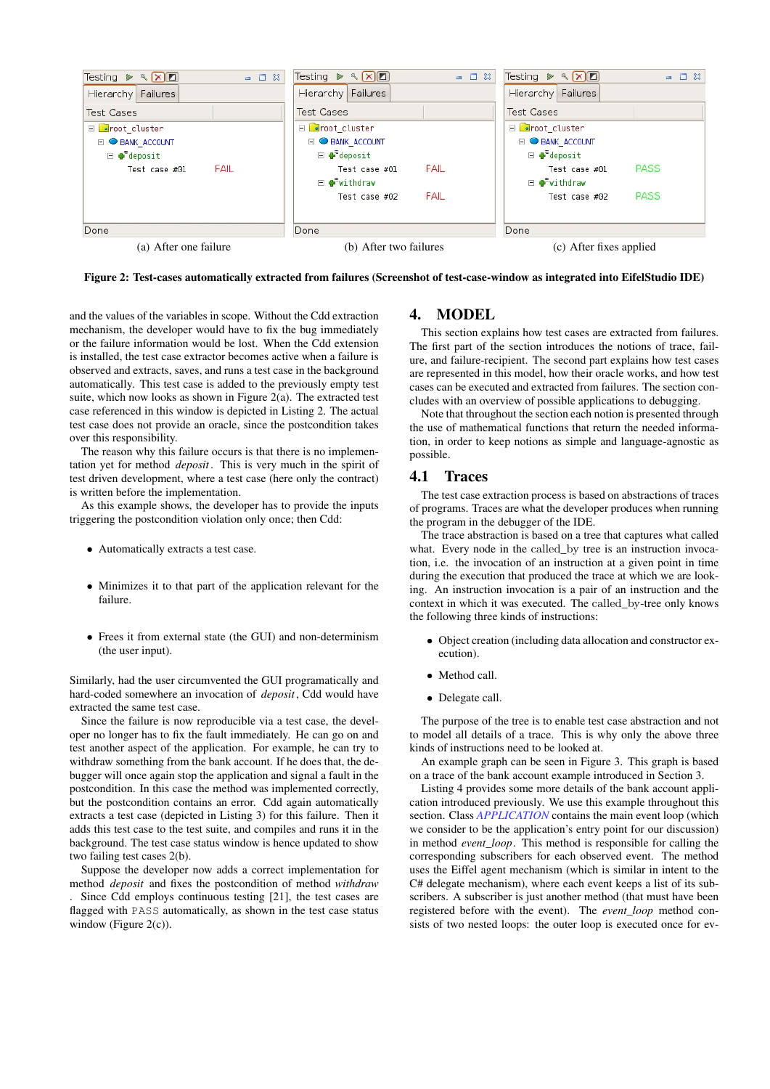

Figure 2: Test-cases automatically extracted from failures (Screenshot of test-case-window as integrated into EifelStudio IDE)

and the values of the variables in scope. Without the Cdd extraction mechanism, the developer would have to fix the bug immediately or the failure information would be lost. When the Cdd extension is installed, the test case extractor becomes active when a failure is observed and extracts, saves, and runs a test case in the background automatically. This test case is added to the previously empty test suite, which now looks as shown in Figure 2(a). The extracted test case referenced in this window is depicted in Listing 2. The actual test case does not provide an oracle, since the postcondition takes over this responsibility.

The reason why this failure occurs is that there is no implementation yet for method *deposit*. This is very much in the spirit of test driven development, where a test case (here only the contract) is written before the implementation.

As this example shows, the developer has to provide the inputs triggering the postcondition violation only once; then Cdd:

- Automatically extracts a test case.
- Minimizes it to that part of the application relevant for the failure.
- Frees it from external state (the GUI) and non-determinism (the user input).

Similarly, had the user circumvented the GUI programatically and hard-coded somewhere an invocation of *deposit*, Cdd would have extracted the same test case.

Since the failure is now reproducible via a test case, the developer no longer has to fix the fault immediately. He can go on and test another aspect of the application. For example, he can try to withdraw something from the bank account. If he does that, the debugger will once again stop the application and signal a fault in the postcondition. In this case the method was implemented correctly, but the postcondition contains an error. Cdd again automatically extracts a test case (depicted in Listing 3) for this failure. Then it adds this test case to the test suite, and compiles and runs it in the background. The test case status window is hence updated to show two failing test cases 2(b).

Suppose the developer now adds a correct implementation for method *deposit* and fixes the postcondition of method *withdraw*

. Since Cdd employs continuous testing [21], the test cases are flagged with PASS automatically, as shown in the test case status window (Figure  $2(c)$ ).

## 4. MODEL

This section explains how test cases are extracted from failures. The first part of the section introduces the notions of trace, failure, and failure-recipient. The second part explains how test cases are represented in this model, how their oracle works, and how test cases can be executed and extracted from failures. The section concludes with an overview of possible applications to debugging.

Note that throughout the section each notion is presented through the use of mathematical functions that return the needed information, in order to keep notions as simple and language-agnostic as possible.

## 4.1 Traces

The test case extraction process is based on abstractions of traces of programs. Traces are what the developer produces when running the program in the debugger of the IDE.

The trace abstraction is based on a tree that captures what called what. Every node in the called\_by tree is an instruction invocation, i.e. the invocation of an instruction at a given point in time during the execution that produced the trace at which we are looking. An instruction invocation is a pair of an instruction and the context in which it was executed. The called\_by-tree only knows the following three kinds of instructions:

- Object creation (including data allocation and constructor execution).
- Method call.
- Delegate call.

The purpose of the tree is to enable test case abstraction and not to model all details of a trace. This is why only the above three kinds of instructions need to be looked at.

An example graph can be seen in Figure 3. This graph is based on a trace of the bank account example introduced in Section 3.

Listing 4 provides some more details of the bank account application introduced previously. We use this example throughout this section. Class *APPLICATION* contains the main event loop (which we consider to be the application's entry point for our discussion) in method *event\_loop*. This method is responsible for calling the corresponding subscribers for each observed event. The method uses the Eiffel agent mechanism (which is similar in intent to the C# delegate mechanism), where each event keeps a list of its subscribers. A subscriber is just another method (that must have been registered before with the event). The *event\_loop* method consists of two nested loops: the outer loop is executed once for ev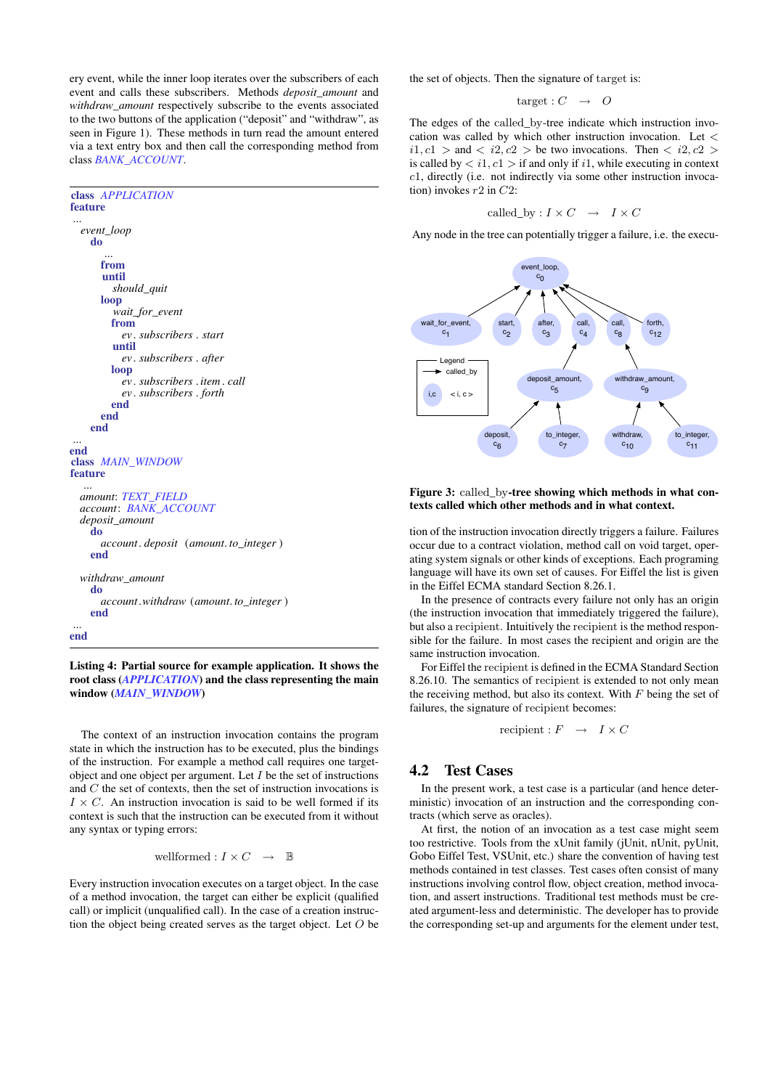ery event, while the inner loop iterates over the subscribers of each event and calls these subscribers. Methods *deposit\_amount* and *withdraw\_amount* respectively subscribe to the events associated to the two buttons of the application ("deposit" and "withdraw", as seen in Figure 1). These methods in turn read the amount entered via a text entry box and then call the corresponding method from class *BANK\_ACCOUNT*.



#### Listing 4: Partial source for example application. It shows the root class (*APPLICATION*) and the class representing the main window (*MAIN\_WINDOW*)

The context of an instruction invocation contains the program state in which the instruction has to be executed, plus the bindings of the instruction. For example a method call requires one targetobject and one object per argument. Let  $I$  be the set of instructions and C the set of contexts, then the set of instruction invocations is  $I \times C$ . An instruction invocation is said to be well formed if its context is such that the instruction can be executed from it without any syntax or typing errors:

wellformed: 
$$
I \times C \rightarrow \mathbb{B}
$$

Every instruction invocation executes on a target object. In the case of a method invocation, the target can either be explicit (qualified call) or implicit (unqualified call). In the case of a creation instruction the object being created serves as the target object. Let O be

the set of objects. Then the signature of target is:

$$
target: C \rightarrow O
$$

The edges of the called\_by-tree indicate which instruction invocation was called by which other instruction invocation. Let <  $i1, c1 >$  and  $\langle i2, c2 \rangle$  be two invocations. Then  $\langle i2, c2 \rangle$ is called by  $\langle i1, c1 \rangle$  if and only if i1, while executing in context c1, directly (i.e. not indirectly via some other instruction invocation) invokes  $r2$  in  $C2$ :

called\_by : 
$$
I \times C \rightarrow I \times C
$$

Any node in the tree can potentially trigger a failure, i.e. the execu-



#### Figure 3: called\_by-tree showing which methods in what contexts called which other methods and in what context.

tion of the instruction invocation directly triggers a failure. Failures occur due to a contract violation, method call on void target, operating system signals or other kinds of exceptions. Each programing language will have its own set of causes. For Eiffel the list is given in the Eiffel ECMA standard Section 8.26.1.

In the presence of contracts every failure not only has an origin (the instruction invocation that immediately triggered the failure), but also a recipient. Intuitively the recipient is the method responsible for the failure. In most cases the recipient and origin are the same instruction invocation.

For Eiffel the recipient is defined in the ECMA Standard Section 8.26.10. The semantics of recipient is extended to not only mean the receiving method, but also its context. With  $F$  being the set of failures, the signature of recipient becomes:

recipient : 
$$
F \rightarrow I \times C
$$

## 4.2 Test Cases

In the present work, a test case is a particular (and hence deterministic) invocation of an instruction and the corresponding contracts (which serve as oracles).

At first, the notion of an invocation as a test case might seem too restrictive. Tools from the xUnit family (jUnit, nUnit, pyUnit, Gobo Eiffel Test, VSUnit, etc.) share the convention of having test methods contained in test classes. Test cases often consist of many instructions involving control flow, object creation, method invocation, and assert instructions. Traditional test methods must be created argument-less and deterministic. The developer has to provide the corresponding set-up and arguments for the element under test,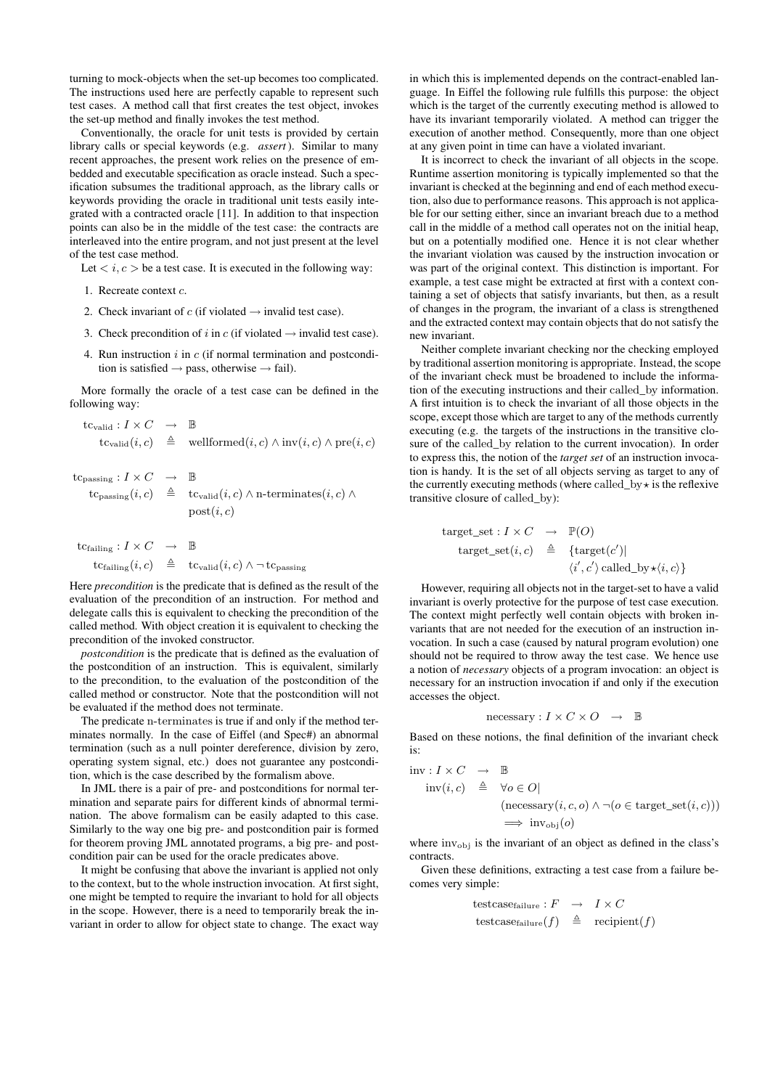turning to mock-objects when the set-up becomes too complicated. The instructions used here are perfectly capable to represent such test cases. A method call that first creates the test object, invokes the set-up method and finally invokes the test method.

Conventionally, the oracle for unit tests is provided by certain library calls or special keywords (e.g. *assert*). Similar to many recent approaches, the present work relies on the presence of embedded and executable specification as oracle instead. Such a specification subsumes the traditional approach, as the library calls or keywords providing the oracle in traditional unit tests easily integrated with a contracted oracle [11]. In addition to that inspection points can also be in the middle of the test case: the contracts are interleaved into the entire program, and not just present at the level of the test case method.

Let  $\langle i, c \rangle$  be a test case. It is executed in the following way:

- 1. Recreate context c.
- 2. Check invariant of c (if violated  $\rightarrow$  invalid test case).
- 3. Check precondition of i in c (if violated  $\rightarrow$  invalid test case).
- 4. Run instruction  $i$  in  $c$  (if normal termination and postcondition is satisfied  $\rightarrow$  pass, otherwise  $\rightarrow$  fail).

More formally the oracle of a test case can be defined in the following way:

tcc<sub>valid</sub>: 
$$
I \times C \rightarrow \mathbb{B}
$$
  
\ntc<sub>valid</sub>(*i*,*c*)  $\triangleq$  wellformed(*i*,*c*)  $\land$  inv(*i*,*c*)  $\land$  pre(*i*,*c*)  
\ntc<sub>passing</sub>:  $I \times C \rightarrow \mathbb{B}$ 

 $tc_{passing}(i, c) \triangleq ct_{valid}(i, c) \wedge n-terminates(i, c) \wedge$  $post(i, c)$ 

tc<sub>failing</sub> :  $I \times C \rightarrow \mathbb{B}$  $tc_{\text{failing}}(i, c) \triangleq ct_{\text{cvalid}}(i, c) \wedge \neg ct_{\text{passing}}$ 

Here *precondition* is the predicate that is defined as the result of the evaluation of the precondition of an instruction. For method and delegate calls this is equivalent to checking the precondition of the called method. With object creation it is equivalent to checking the precondition of the invoked constructor.

*postcondition* is the predicate that is defined as the evaluation of the postcondition of an instruction. This is equivalent, similarly to the precondition, to the evaluation of the postcondition of the called method or constructor. Note that the postcondition will not be evaluated if the method does not terminate.

The predicate n-terminates is true if and only if the method terminates normally. In the case of Eiffel (and Spec#) an abnormal termination (such as a null pointer dereference, division by zero, operating system signal, etc.) does not guarantee any postcondition, which is the case described by the formalism above.

In JML there is a pair of pre- and postconditions for normal termination and separate pairs for different kinds of abnormal termination. The above formalism can be easily adapted to this case. Similarly to the way one big pre- and postcondition pair is formed for theorem proving JML annotated programs, a big pre- and postcondition pair can be used for the oracle predicates above.

It might be confusing that above the invariant is applied not only to the context, but to the whole instruction invocation. At first sight, one might be tempted to require the invariant to hold for all objects in the scope. However, there is a need to temporarily break the invariant in order to allow for object state to change. The exact way

in which this is implemented depends on the contract-enabled language. In Eiffel the following rule fulfills this purpose: the object which is the target of the currently executing method is allowed to have its invariant temporarily violated. A method can trigger the execution of another method. Consequently, more than one object at any given point in time can have a violated invariant.

It is incorrect to check the invariant of all objects in the scope. Runtime assertion monitoring is typically implemented so that the invariant is checked at the beginning and end of each method execution, also due to performance reasons. This approach is not applicable for our setting either, since an invariant breach due to a method call in the middle of a method call operates not on the initial heap, but on a potentially modified one. Hence it is not clear whether the invariant violation was caused by the instruction invocation or was part of the original context. This distinction is important. For example, a test case might be extracted at first with a context containing a set of objects that satisfy invariants, but then, as a result of changes in the program, the invariant of a class is strengthened and the extracted context may contain objects that do not satisfy the new invariant.

Neither complete invariant checking nor the checking employed by traditional assertion monitoring is appropriate. Instead, the scope of the invariant check must be broadened to include the information of the executing instructions and their called\_by information. A first intuition is to check the invariant of all those objects in the scope, except those which are target to any of the methods currently executing (e.g. the targets of the instructions in the transitive closure of the called\_by relation to the current invocation). In order to express this, the notion of the *target set* of an instruction invocation is handy. It is the set of all objects serving as target to any of the currently executing methods (where called\_by $\star$  is the reflexive transitive closure of called\_by):

$$
\begin{array}{rcl}\n\text{target\_set}: I \times C & \rightarrow & \mathbb{P}(O) \\
\text{target\_set}(i, c) & \triangleq & \{\text{target}(c') | \\
& \langle i', c' \rangle \text{ called\_by} \star \langle i, c \rangle \}\n\end{array}
$$

However, requiring all objects not in the target-set to have a valid invariant is overly protective for the purpose of test case execution. The context might perfectly well contain objects with broken invariants that are not needed for the execution of an instruction invocation. In such a case (caused by natural program evolution) one should not be required to throw away the test case. We hence use a notion of *necessary* objects of a program invocation: an object is necessary for an instruction invocation if and only if the execution accesses the object.

$$
necessary : I \times C \times O \quad \rightarrow \quad \mathbb{B}
$$

Based on these notions, the final definition of the invariant check is:

$$
\begin{array}{rcl}\n\text{inv}: I \times C & \rightarrow & \mathbb{B} \\
\text{inv}(i, c) & \triangleq & \forall o \in O \\
& \text{(necessary}(i, c, o) \land \neg(o \in \text{target\_set}(i, c))) \\
& \implies \text{inv}_{\text{obj}}(o)\n\end{array}
$$

where  $inv_{obj}$  is the invariant of an object as defined in the class's contracts.

Given these definitions, extracting a test case from a failure becomes very simple:

$$
\begin{array}{rcl}\n\text{testcase}_{\text{failure}}: F & \to & I \times C \\
\text{testcase}_{\text{failure}}(f) & \triangleq & \text{recipient}(f)\n\end{array}
$$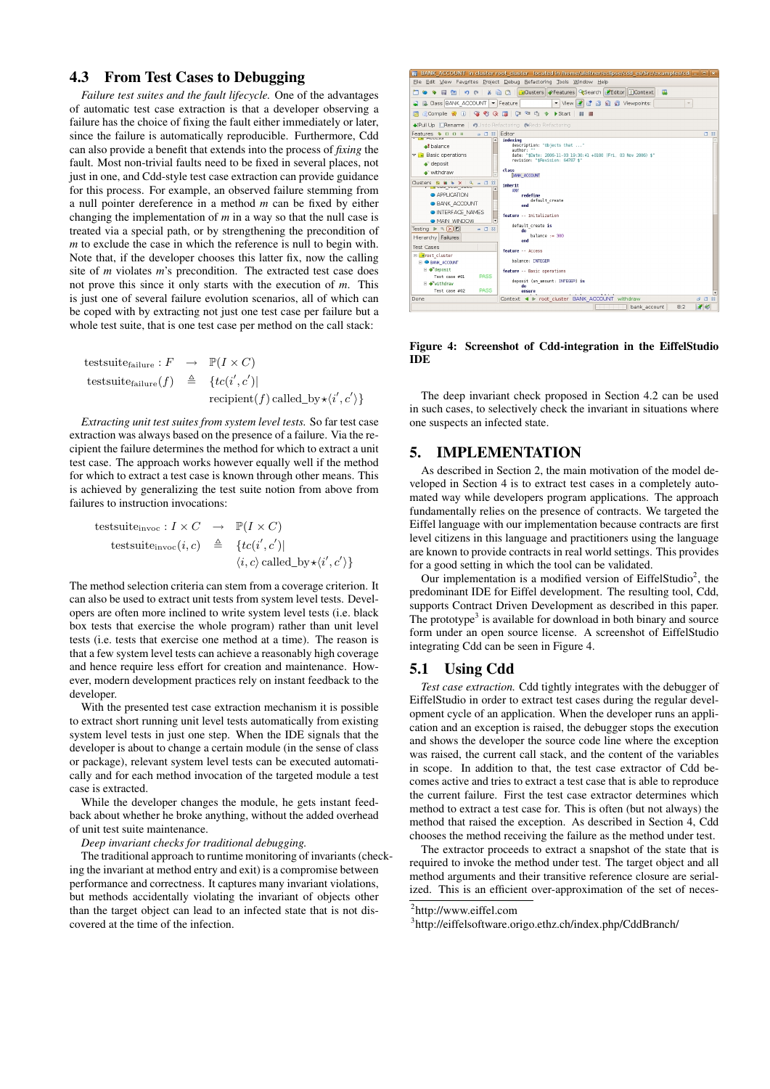# 4.3 From Test Cases to Debugging

*Failure test suites and the fault lifecycle.* One of the advantages of automatic test case extraction is that a developer observing a failure has the choice of fixing the fault either immediately or later, since the failure is automatically reproducible. Furthermore, Cdd can also provide a benefit that extends into the process of *fixing* the fault. Most non-trivial faults need to be fixed in several places, not just in one, and Cdd-style test case extraction can provide guidance for this process. For example, an observed failure stemming from a null pointer dereference in a method *m* can be fixed by either changing the implementation of *m* in a way so that the null case is treated via a special path, or by strengthening the precondition of *m* to exclude the case in which the reference is null to begin with. Note that, if the developer chooses this latter fix, now the calling site of *m* violates *m*'s precondition. The extracted test case does not prove this since it only starts with the execution of *m*. This is just one of several failure evolution scenarios, all of which can be coped with by extracting not just one test case per failure but a whole test suite, that is one test case per method on the call stack:

$$
\begin{array}{rcl}\n\text{testsuit}_{\text{failure}}: F & \rightarrow & \mathbb{P}(I \times C) \\
\text{testsuit}_{\text{failure}}(f) & \triangleq & \{tc(i', c') | \\
& \text{recipient}(f) \text{ called\_by} \star \langle i', c' \rangle\}\n\end{array}
$$

*Extracting unit test suites from system level tests.* So far test case extraction was always based on the presence of a failure. Via the recipient the failure determines the method for which to extract a unit test case. The approach works however equally well if the method for which to extract a test case is known through other means. This is achieved by generalizing the test suite notion from above from failures to instruction invocations:

$$
\begin{array}{rcl}\n\text{test suite}_{\text{invoc}}: I \times C & \rightarrow & \mathbb{P}(I \times C) \\
\text{test suite}_{\text{invoc}}(i, c) & \triangleq & \{tc(i', c') | \\
& \langle i, c \rangle \text{ called\_by} \star \langle i', c' \rangle\}\n\end{array}
$$

The method selection criteria can stem from a coverage criterion. It can also be used to extract unit tests from system level tests. Developers are often more inclined to write system level tests (i.e. black box tests that exercise the whole program) rather than unit level tests (i.e. tests that exercise one method at a time). The reason is that a few system level tests can achieve a reasonably high coverage and hence require less effort for creation and maintenance. However, modern development practices rely on instant feedback to the developer.

With the presented test case extraction mechanism it is possible to extract short running unit level tests automatically from existing system level tests in just one step. When the IDE signals that the developer is about to change a certain module (in the sense of class or package), relevant system level tests can be executed automatically and for each method invocation of the targeted module a test case is extracted.

While the developer changes the module, he gets instant feedback about whether he broke anything, without the added overhead of unit test suite maintenance.

#### *Deep invariant checks for traditional debugging.*

The traditional approach to runtime monitoring of invariants (checking the invariant at method entry and exit) is a compromise between performance and correctness. It captures many invariant violations, but methods accidentally violating the invariant of objects other than the target object can lead to an infected state that is not discovered at the time of the infection.



Figure 4: Screenshot of Cdd-integration in the EiffelStudio IDE

The deep invariant check proposed in Section 4.2 can be used in such cases, to selectively check the invariant in situations where one suspects an infected state.

## 5. IMPLEMENTATION

As described in Section 2, the main motivation of the model developed in Section 4 is to extract test cases in a completely automated way while developers program applications. The approach fundamentally relies on the presence of contracts. We targeted the Eiffel language with our implementation because contracts are first level citizens in this language and practitioners using the language are known to provide contracts in real world settings. This provides for a good setting in which the tool can be validated.

Our implementation is a modified version of EiffelStudio<sup>2</sup>, the predominant IDE for Eiffel development. The resulting tool, Cdd, supports Contract Driven Development as described in this paper. The prototype<sup>3</sup> is available for download in both binary and source form under an open source license. A screenshot of EiffelStudio integrating Cdd can be seen in Figure 4.

## 5.1 Using Cdd

*Test case extraction.* Cdd tightly integrates with the debugger of EiffelStudio in order to extract test cases during the regular development cycle of an application. When the developer runs an application and an exception is raised, the debugger stops the execution and shows the developer the source code line where the exception was raised, the current call stack, and the content of the variables in scope. In addition to that, the test case extractor of Cdd becomes active and tries to extract a test case that is able to reproduce the current failure. First the test case extractor determines which method to extract a test case for. This is often (but not always) the method that raised the exception. As described in Section 4, Cdd chooses the method receiving the failure as the method under test.

The extractor proceeds to extract a snapshot of the state that is required to invoke the method under test. The target object and all method arguments and their transitive reference closure are serialized. This is an efficient over-approximation of the set of neces-

<sup>2</sup> http://www.eiffel.com

<sup>3</sup> http://eiffelsoftware.origo.ethz.ch/index.php/CddBranch/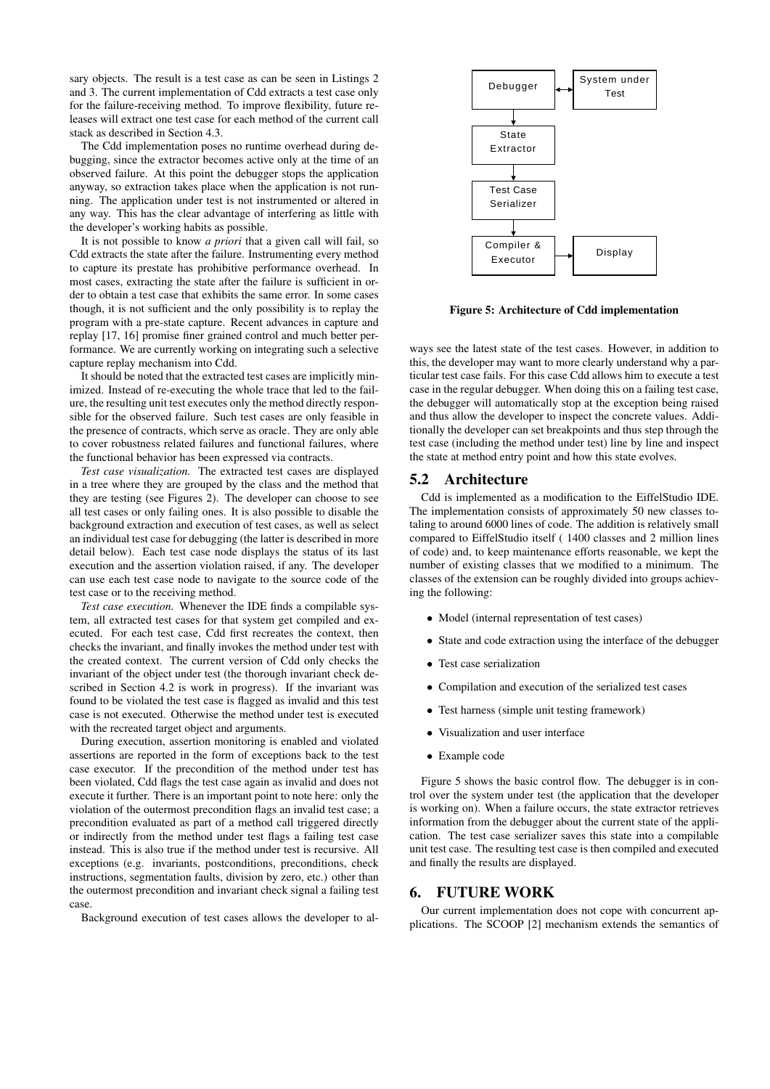sary objects. The result is a test case as can be seen in Listings 2 and 3. The current implementation of Cdd extracts a test case only for the failure-receiving method. To improve flexibility, future releases will extract one test case for each method of the current call stack as described in Section 4.3.

The Cdd implementation poses no runtime overhead during debugging, since the extractor becomes active only at the time of an observed failure. At this point the debugger stops the application anyway, so extraction takes place when the application is not running. The application under test is not instrumented or altered in any way. This has the clear advantage of interfering as little with the developer's working habits as possible.

It is not possible to know *a priori* that a given call will fail, so Cdd extracts the state after the failure. Instrumenting every method to capture its prestate has prohibitive performance overhead. In most cases, extracting the state after the failure is sufficient in order to obtain a test case that exhibits the same error. In some cases though, it is not sufficient and the only possibility is to replay the program with a pre-state capture. Recent advances in capture and replay [17, 16] promise finer grained control and much better performance. We are currently working on integrating such a selective capture replay mechanism into Cdd.

It should be noted that the extracted test cases are implicitly minimized. Instead of re-executing the whole trace that led to the failure, the resulting unit test executes only the method directly responsible for the observed failure. Such test cases are only feasible in the presence of contracts, which serve as oracle. They are only able to cover robustness related failures and functional failures, where the functional behavior has been expressed via contracts.

*Test case visualization.* The extracted test cases are displayed in a tree where they are grouped by the class and the method that they are testing (see Figures 2). The developer can choose to see all test cases or only failing ones. It is also possible to disable the background extraction and execution of test cases, as well as select an individual test case for debugging (the latter is described in more detail below). Each test case node displays the status of its last execution and the assertion violation raised, if any. The developer can use each test case node to navigate to the source code of the test case or to the receiving method.

*Test case execution.* Whenever the IDE finds a compilable system, all extracted test cases for that system get compiled and executed. For each test case, Cdd first recreates the context, then checks the invariant, and finally invokes the method under test with the created context. The current version of Cdd only checks the invariant of the object under test (the thorough invariant check described in Section 4.2 is work in progress). If the invariant was found to be violated the test case is flagged as invalid and this test case is not executed. Otherwise the method under test is executed with the recreated target object and arguments.

During execution, assertion monitoring is enabled and violated assertions are reported in the form of exceptions back to the test case executor. If the precondition of the method under test has been violated, Cdd flags the test case again as invalid and does not execute it further. There is an important point to note here: only the violation of the outermost precondition flags an invalid test case; a precondition evaluated as part of a method call triggered directly or indirectly from the method under test flags a failing test case instead. This is also true if the method under test is recursive. All exceptions (e.g. invariants, postconditions, preconditions, check instructions, segmentation faults, division by zero, etc.) other than the outermost precondition and invariant check signal a failing test case.

Background execution of test cases allows the developer to al-



Figure 5: Architecture of Cdd implementation

ways see the latest state of the test cases. However, in addition to this, the developer may want to more clearly understand why a particular test case fails. For this case Cdd allows him to execute a test case in the regular debugger. When doing this on a failing test case, the debugger will automatically stop at the exception being raised and thus allow the developer to inspect the concrete values. Additionally the developer can set breakpoints and thus step through the test case (including the method under test) line by line and inspect the state at method entry point and how this state evolves.

#### 5.2 Architecture

Cdd is implemented as a modification to the EiffelStudio IDE. The implementation consists of approximately 50 new classes totaling to around 6000 lines of code. The addition is relatively small compared to EiffelStudio itself ( 1400 classes and 2 million lines of code) and, to keep maintenance efforts reasonable, we kept the number of existing classes that we modified to a minimum. The classes of the extension can be roughly divided into groups achieving the following:

- Model (internal representation of test cases)
- State and code extraction using the interface of the debugger
- Test case serialization
- Compilation and execution of the serialized test cases
- Test harness (simple unit testing framework)
- Visualization and user interface
- Example code

Figure 5 shows the basic control flow. The debugger is in control over the system under test (the application that the developer is working on). When a failure occurs, the state extractor retrieves information from the debugger about the current state of the application. The test case serializer saves this state into a compilable unit test case. The resulting test case is then compiled and executed and finally the results are displayed.

## 6. FUTURE WORK

Our current implementation does not cope with concurrent applications. The SCOOP [2] mechanism extends the semantics of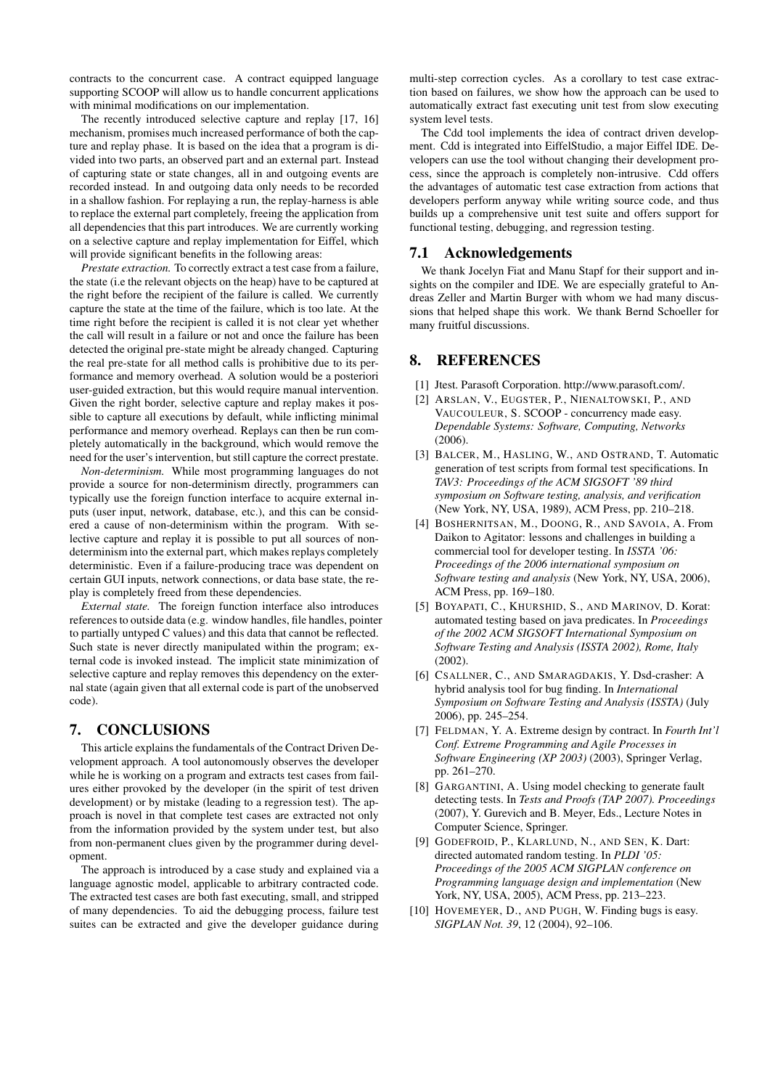contracts to the concurrent case. A contract equipped language supporting SCOOP will allow us to handle concurrent applications with minimal modifications on our implementation.

The recently introduced selective capture and replay [17, 16] mechanism, promises much increased performance of both the capture and replay phase. It is based on the idea that a program is divided into two parts, an observed part and an external part. Instead of capturing state or state changes, all in and outgoing events are recorded instead. In and outgoing data only needs to be recorded in a shallow fashion. For replaying a run, the replay-harness is able to replace the external part completely, freeing the application from all dependencies that this part introduces. We are currently working on a selective capture and replay implementation for Eiffel, which will provide significant benefits in the following areas:

*Prestate extraction.* To correctly extract a test case from a failure, the state (i.e the relevant objects on the heap) have to be captured at the right before the recipient of the failure is called. We currently capture the state at the time of the failure, which is too late. At the time right before the recipient is called it is not clear yet whether the call will result in a failure or not and once the failure has been detected the original pre-state might be already changed. Capturing the real pre-state for all method calls is prohibitive due to its performance and memory overhead. A solution would be a posteriori user-guided extraction, but this would require manual intervention. Given the right border, selective capture and replay makes it possible to capture all executions by default, while inflicting minimal performance and memory overhead. Replays can then be run completely automatically in the background, which would remove the need for the user's intervention, but still capture the correct prestate.

*Non-determinism.* While most programming languages do not provide a source for non-determinism directly, programmers can typically use the foreign function interface to acquire external inputs (user input, network, database, etc.), and this can be considered a cause of non-determinism within the program. With selective capture and replay it is possible to put all sources of nondeterminism into the external part, which makes replays completely deterministic. Even if a failure-producing trace was dependent on certain GUI inputs, network connections, or data base state, the replay is completely freed from these dependencies.

*External state.* The foreign function interface also introduces references to outside data (e.g. window handles, file handles, pointer to partially untyped C values) and this data that cannot be reflected. Such state is never directly manipulated within the program; external code is invoked instead. The implicit state minimization of selective capture and replay removes this dependency on the external state (again given that all external code is part of the unobserved code).

# 7. CONCLUSIONS

This article explains the fundamentals of the Contract Driven Development approach. A tool autonomously observes the developer while he is working on a program and extracts test cases from failures either provoked by the developer (in the spirit of test driven development) or by mistake (leading to a regression test). The approach is novel in that complete test cases are extracted not only from the information provided by the system under test, but also from non-permanent clues given by the programmer during development.

The approach is introduced by a case study and explained via a language agnostic model, applicable to arbitrary contracted code. The extracted test cases are both fast executing, small, and stripped of many dependencies. To aid the debugging process, failure test suites can be extracted and give the developer guidance during

multi-step correction cycles. As a corollary to test case extraction based on failures, we show how the approach can be used to automatically extract fast executing unit test from slow executing system level tests.

The Cdd tool implements the idea of contract driven development. Cdd is integrated into EiffelStudio, a major Eiffel IDE. Developers can use the tool without changing their development process, since the approach is completely non-intrusive. Cdd offers the advantages of automatic test case extraction from actions that developers perform anyway while writing source code, and thus builds up a comprehensive unit test suite and offers support for functional testing, debugging, and regression testing.

## 7.1 Acknowledgements

We thank Jocelyn Fiat and Manu Stapf for their support and insights on the compiler and IDE. We are especially grateful to Andreas Zeller and Martin Burger with whom we had many discussions that helped shape this work. We thank Bernd Schoeller for many fruitful discussions.

# 8. REFERENCES

- [1] Jtest. Parasoft Corporation. http://www.parasoft.com/.
- [2] ARSLAN, V., EUGSTER, P., NIENALTOWSKI, P., AND VAUCOULEUR, S. SCOOP - concurrency made easy. *Dependable Systems: Software, Computing, Networks* (2006).
- [3] BALCER, M., HASLING, W., AND OSTRAND, T. Automatic generation of test scripts from formal test specifications. In *TAV3: Proceedings of the ACM SIGSOFT '89 third symposium on Software testing, analysis, and verification* (New York, NY, USA, 1989), ACM Press, pp. 210–218.
- [4] BOSHERNITSAN, M., DOONG, R., AND SAVOIA, A. From Daikon to Agitator: lessons and challenges in building a commercial tool for developer testing. In *ISSTA '06: Proceedings of the 2006 international symposium on Software testing and analysis* (New York, NY, USA, 2006), ACM Press, pp. 169–180.
- [5] BOYAPATI, C., KHURSHID, S., AND MARINOV, D. Korat: automated testing based on java predicates. In *Proceedings of the 2002 ACM SIGSOFT International Symposium on Software Testing and Analysis (ISSTA 2002), Rome, Italy* (2002).
- [6] CSALLNER, C., AND SMARAGDAKIS, Y. Dsd-crasher: A hybrid analysis tool for bug finding. In *International Symposium on Software Testing and Analysis (ISSTA)* (July 2006), pp. 245–254.
- [7] FELDMAN, Y. A. Extreme design by contract. In *Fourth Int'l Conf. Extreme Programming and Agile Processes in Software Engineering (XP 2003)* (2003), Springer Verlag, pp. 261–270.
- [8] GARGANTINI, A. Using model checking to generate fault detecting tests. In *Tests and Proofs (TAP 2007). Proceedings* (2007), Y. Gurevich and B. Meyer, Eds., Lecture Notes in Computer Science, Springer.
- [9] GODEFROID, P., KLARLUND, N., AND SEN, K. Dart: directed automated random testing. In *PLDI '05: Proceedings of the 2005 ACM SIGPLAN conference on Programming language design and implementation* (New York, NY, USA, 2005), ACM Press, pp. 213–223.
- [10] HOVEMEYER, D., AND PUGH, W. Finding bugs is easy. *SIGPLAN Not. 39*, 12 (2004), 92–106.